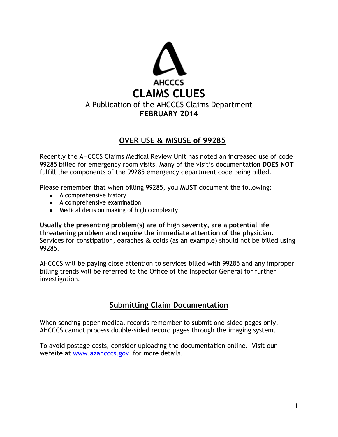

# **OVER USE & MISUSE of 99285**

Recently the AHCCCS Claims Medical Review Unit has noted an increased use of code 99285 billed for emergency room visits. Many of the visit's documentation **DOES NOT** fulfill the components of the 99285 emergency department code being billed.

Please remember that when billing 99285, you **MUST** document the following:

- A comprehensive history
- A comprehensive examination
- Medical decision making of high complexity

**Usually the presenting problem(s) are of high severity, are a potential life threatening problem and require the immediate attention of the physician.** Services for constipation, earaches  $\&$  colds (as an example) should not be billed using 99285.

AHCCCS will be paying close attention to services billed with 99285 and any improper billing trends will be referred to the Office of the Inspector General for further investigation.

# **Submitting Claim Documentation**

When sending paper medical records remember to submit one-sided pages only. AHCCCS cannot process double-sided record pages through the imaging system.

To avoid postage costs, consider uploading the documentation online. Visit our website at [www.azahcccs.gov](http://www.azahcccs.gov/) for more details.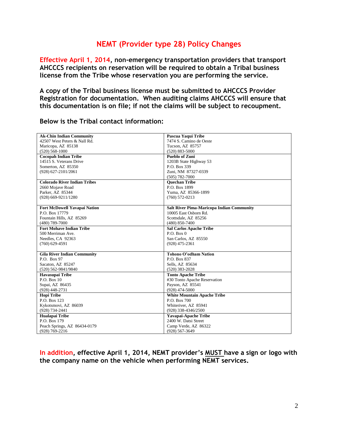# **NEMT (Provider type 28) Policy Changes**

**Effective April 1, 2014, non-emergency transportation providers that transport AHCCCS recipients on reservation will be required to obtain a Tribal business license from the Tribe whose reservation you are performing the service.** 

**A copy of the Tribal business license must be submitted to AHCCCS Provider Registration for documentation. When auditing claims AHCCCS will ensure that this documentation is on file; if not the claims will be subject to recoupment.**

| <b>Ak-Chin Indian Community</b>     | Pascua Yaqui Tribe                               |
|-------------------------------------|--------------------------------------------------|
| 42507 West Peters & Nall Rd.        | 7474 S. Camino de Oeste                          |
| Maricopa, AZ 85138                  | Tucson, AZ 85757                                 |
| $(520) 568 - 1000$                  | $(520) 883 - 5000$                               |
| <b>Cocopah Indian Tribe</b>         | <b>Pueblo of Zuni</b>                            |
| 14515 S. Veterans Drive             | 1203B State Highway 53                           |
| Somerton, AZ 85350                  | P.O. Box 339                                     |
| (928) 627-2101/2061                 | Zuni, NM 87327-0339                              |
|                                     | $(505) 782 - 7000$                               |
| <b>Colorado River Indian Tribes</b> | <b>Ouechan Tribe</b>                             |
| 2660 Mojave Road                    | P.O. Box 1899                                    |
| Parker, AZ 85344                    | Yuma, AZ 85366-1899                              |
| (928) 669-9211/1280                 | $(760)$ 572-0213                                 |
|                                     |                                                  |
| <b>Fort McDowell Yavapai Nation</b> | <b>Salt River Pima-Maricopa Indian Community</b> |
| P.O. Box 17779                      | 10005 East Osborn Rd.                            |
| Fountain Hills, AZ 85269            | Scottsdale, AZ 85256                             |
| $(480)$ 789-7000                    | $(480) 850 - 7400$                               |
| <b>Fort Mohave Indian Tribe</b>     | <b>Sal Carlos Apache Tribe</b>                   |
| 500 Merriman Ave.                   | P.O. Box 0                                       |
| Needles, CA 92363                   | San Carlos, AZ 85550                             |
| $(760)$ 629-4591                    | $(928)$ 475-2361                                 |
|                                     |                                                  |
| <b>Gila River Indian Community</b>  | Tohono O'odham Nation                            |
| P.O. Box 97                         | P.O. Box 837                                     |
| Sacaton, AZ 85247                   | Sells, AZ 85634                                  |
| (520) 562-9841/9840                 | $(520)$ 383-2028                                 |
| Havasupai Tribe                     | <b>Tonto Apache Tribe</b>                        |
| P.O. Box 10                         | #30 Tonto Apache Reservation                     |
| Supai, AZ 86435                     | Payson, AZ 85541                                 |
| $(928)$ 448-2731                    | $(928)$ 474-5000                                 |
| <b>Hopi Tribe</b>                   | <b>White Mountain Apache Tribe</b>               |
| P.O. Box 123                        | P.O. Box 700                                     |
| Kykotsmovi, AZ 86039                | Whiteriver, AZ 85941                             |
| (928) 734-2441                      | (928) 338-4346/2500                              |
| Hualapai Tribe                      | Yavapai-Apache Tribe                             |
| P.O. Box 179                        | 2400 W. Datsi Street                             |
| Peach Springs, AZ 86434-0179        | Camp Verde, AZ 86322                             |
| $(928) 769 - 2216$                  | $(928) 567 - 3649$                               |

**Below is the Tribal contact information:**

**In addition, effective April 1, 2014, NEMT provider's MUST have a sign or logo with the company name on the vehicle when performing NEMT services.**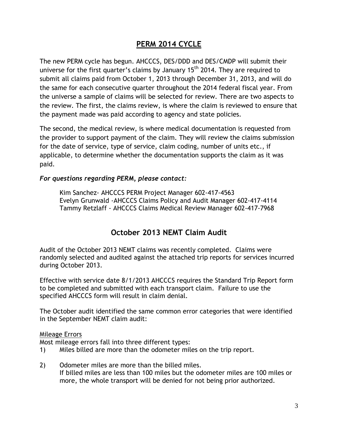# **PERM 2014 CYCLE**

The new PERM cycle has begun. AHCCCS, DES/DDD and DES/CMDP will submit their universe for the first quarter's claims by January  $15<sup>th</sup>$  2014. They are required to submit all claims paid from October 1, 2013 through December 31, 2013, and will do the same for each consecutive quarter throughout the 2014 federal fiscal year. From the universe a sample of claims will be selected for review. There are two aspects to the review. The first, the claims review, is where the claim is reviewed to ensure that the payment made was paid according to agency and state policies.

The second, the medical review, is where medical documentation is requested from the provider to support payment of the claim. They will review the claims submission for the date of service, type of service, claim coding, number of units etc., if applicable, to determine whether the documentation supports the claim as it was paid.

#### *For questions regarding PERM, please contact:*

Kim Sanchez- AHCCCS PERM Project Manager 602-417-4563 Evelyn Grunwald -AHCCCS Claims Policy and Audit Manager 602-417-4114 Tammy Retzlaff - AHCCCS Claims Medical Review Manager 602-417-7968

# **October 2013 NEMT Claim Audit**

Audit of the October 2013 NEMT claims was recently completed. Claims were randomly selected and audited against the attached trip reports for services incurred during October 2013.

Effective with service date 8/1/2013 AHCCCS requires the Standard Trip Report form to be completed and submitted with each transport claim. Failure to use the specified AHCCCS form will result in claim denial.

The October audit identified the same common error categories that were identified in the September NEMT claim audit:

#### Mileage Errors

Most mileage errors fall into three different types:

- 1) Miles billed are more than the odometer miles on the trip report.
- 2) Odometer miles are more than the billed miles. If billed miles are less than 100 miles but the odometer miles are 100 miles or more, the whole transport will be denied for not being prior authorized.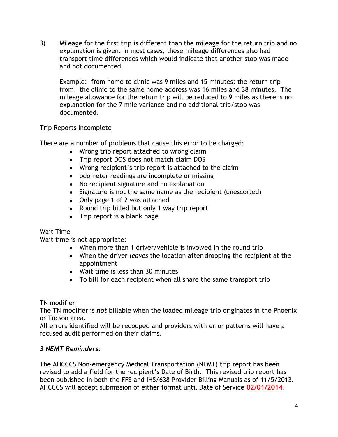3) Mileage for the first trip is different than the mileage for the return trip and no explanation is given. In most cases, these mileage differences also had transport time differences which would indicate that another stop was made and not documented.

Example: from home to clinic was 9 miles and 15 minutes; the return trip from the clinic to the same home address was 16 miles and 38 minutes. The mileage allowance for the return trip will be reduced to 9 miles as there is no explanation for the 7 mile variance and no additional trip/stop was documented.

## Trip Reports Incomplete

There are a number of problems that cause this error to be charged:

- Wrong trip report attached to wrong claim
- Trip report DOS does not match claim DOS
- Wrong recipient's trip report is attached to the claim
- odometer readings are incomplete or missing
- No recipient signature and no explanation
- Signature is not the same name as the recipient (unescorted)
- Only page 1 of 2 was attached
- Round trip billed but only 1 way trip report
- Trip report is a blank page

## Wait Time

Wait time is not appropriate:

- When more than 1 driver/vehicle is involved in the round trip
- When the driver *leaves* the location after dropping the recipient at the appointment
- Wait time is less than 30 minutes
- To bill for each recipient when all share the same transport trip

#### TN modifier

The TN modifier is *not* billable when the loaded mileage trip originates in the Phoenix or Tucson area.

All errors identified will be recouped and providers with error patterns will have a focused audit performed on their claims.

## *3 NEMT Reminders:*

The AHCCCS Non-emergency Medical Transportation (NEMT) trip report has been revised to add a field for the recipient's Date of Birth. This revised trip report has been published in both the FFS and IHS/638 Provider Billing Manuals as of 11/5/2013. AHCCCS will accept submission of either format until Date of Service **02/01/2014**.